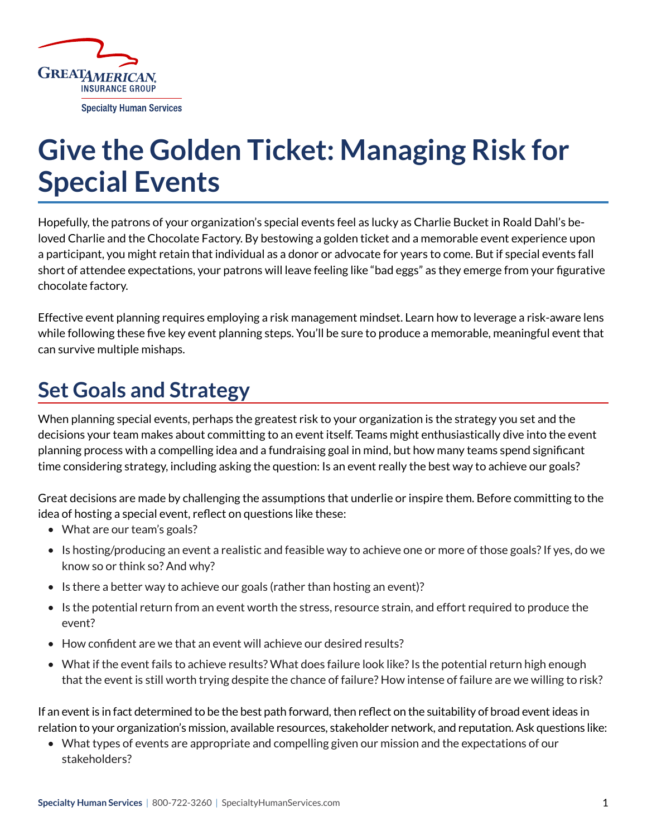

# **Give the Golden Ticket: Managing Risk for Special Events**

Hopefully, the patrons of your organization's special events feel as lucky as Charlie Bucket in Roald Dahl's beloved Charlie and the Chocolate Factory. By bestowing a golden ticket and a memorable event experience upon a participant, you might retain that individual as a donor or advocate for years to come. But if special events fall short of attendee expectations, your patrons will leave feeling like "bad eggs" as they emerge from your figurative chocolate factory.

Effective event planning requires employing a risk management mindset. Learn how to leverage a risk-aware lens while following these five key event planning steps. You'll be sure to produce a memorable, meaningful event that can survive multiple mishaps.

## **Set Goals and Strategy**

When planning special events, perhaps the greatest risk to your organization is the strategy you set and the decisions your team makes about committing to an event itself. Teams might enthusiastically dive into the event planning process with a compelling idea and a fundraising goal in mind, but how many teams spend significant time considering strategy, including asking the question: Is an event really the best way to achieve our goals?

Great decisions are made by challenging the assumptions that underlie or inspire them. Before committing to the idea of hosting a special event, reflect on questions like these:

- What are our team's goals?
- Is hosting/producing an event a realistic and feasible way to achieve one or more of those goals? If yes, do we know so or think so? And why?
- Is there a better way to achieve our goals (rather than hosting an event)?
- Is the potential return from an event worth the stress, resource strain, and effort required to produce the event?
- How confident are we that an event will achieve our desired results?
- What if the event fails to achieve results? What does failure look like? Is the potential return high enough that the event is still worth trying despite the chance of failure? How intense of failure are we willing to risk?

If an event is in fact determined to be the best path forward, then reflect on the suitability of broad event ideas in relation to your organization's mission, available resources, stakeholder network, and reputation. Ask questions like:

• What types of events are appropriate and compelling given our mission and the expectations of our stakeholders?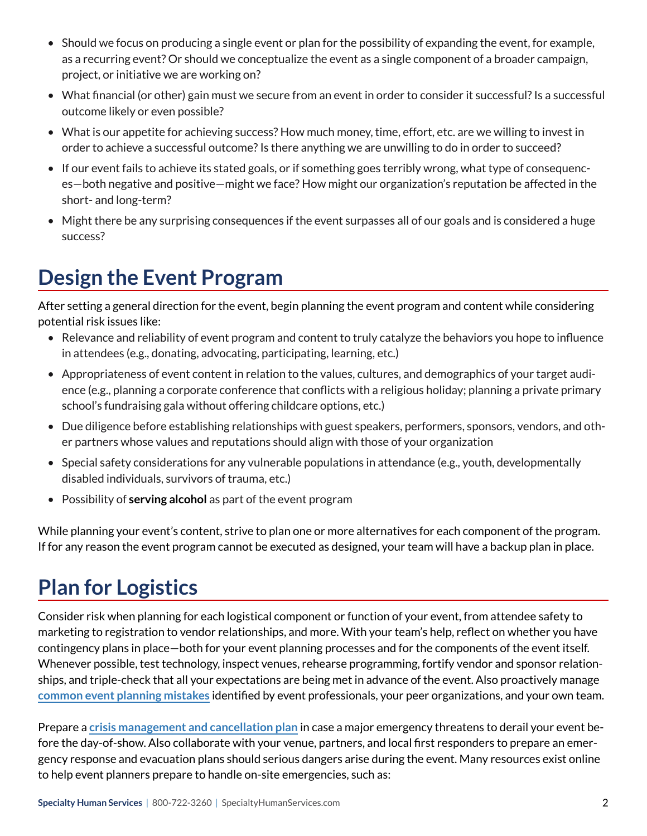- Should we focus on producing a single event or plan for the possibility of expanding the event, for example, as a recurring event? Or should we conceptualize the event as a single component of a broader campaign, project, or initiative we are working on?
- What financial (or other) gain must we secure from an event in order to consider it successful? Is a successful outcome likely or even possible?
- What is our appetite for achieving success? How much money, time, effort, etc. are we willing to invest in order to achieve a successful outcome? Is there anything we are unwilling to do in order to succeed?
- If our event fails to achieve its stated goals, or if something goes terribly wrong, what type of consequences—both negative and positive—might we face? How might our organization's reputation be affected in the short- and long-term?
- Might there be any surprising consequences if the event surpasses all of our goals and is considered a huge success?

## **Design the Event Program**

After setting a general direction for the event, begin planning the event program and content while considering potential risk issues like:

- Relevance and reliability of event program and content to truly catalyze the behaviors you hope to influence in attendees (e.g., donating, advocating, participating, learning, etc.)
- Appropriateness of event content in relation to the values, cultures, and demographics of your target audience (e.g., planning a corporate conference that conflicts with a religious holiday; planning a private primary school's fundraising gala without offering childcare options, etc.)
- Due diligence before establishing relationships with guest speakers, performers, sponsors, vendors, and other partners whose values and reputations should align with those of your organization
- Special safety considerations for any vulnerable populations in attendance (e.g., youth, developmentally disabled individuals, survivors of trauma, etc.)
- Possibility of **serving alcohol** as part of the event program

While planning your event's content, strive to plan one or more alternatives for each component of the program. If for any reason the event program cannot be executed as designed, your team will have a backup plan in place.

## **Plan for Logistics**

Consider risk when planning for each logistical component or function of your event, from attendee safety to marketing to registration to vendor relationships, and more. With your team's help, reflect on whether you have contingency plans in place—both for your event planning processes and for the components of the event itself. Whenever possible, test technology, inspect venues, rehearse programming, fortify vendor and sponsor relationships, and triple-check that all your expectations are being met in advance of the event. Also proactively manage **[common event planning mistakes](https://www.specialevents.com/corporate-events/five-most-common-event-planning-mistakes-and-how-avoid-them)** identified by event professionals, your peer organizations, and your own team.

Prepare a **[crisis management and cancellation plan](https://www.specialevents.com/blog/lights-camera-crisis-guide-crisis-planning-and-management-special-events)** in case a major emergency threatens to derail your event before the day-of-show. Also collaborate with your venue, partners, and local first responders to prepare an emergency response and evacuation plans should serious dangers arise during the event. Many resources exist online to help event planners prepare to handle on-site emergencies, such as: